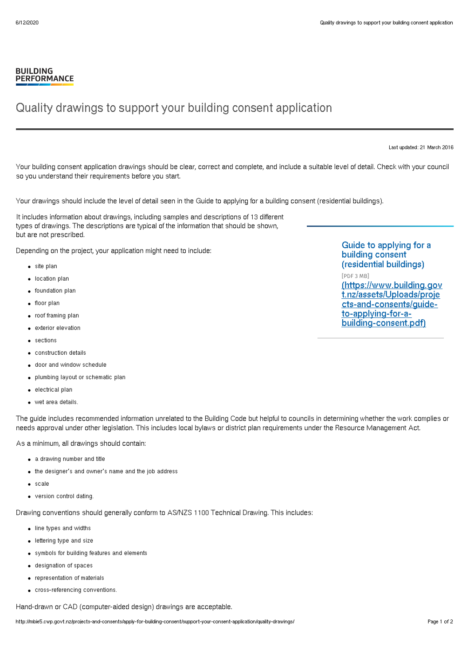## **BUILDING PERFORMANCE**

## Quality drawings to support your building consent application

Last updated: 21 March 2016

Your building consent application drawings should be clear, correct and complete, and include a suitable level of detail. Check with your council so you understand their requirements before you start.

Your drawings should include the level of detail seen in the Guide to applying for a building consent (residential buildings).

It includes information about drawings, including samples and descriptions of 13 different types of drawings. The descriptions are typical of the information that should be shown, but are not prescribed.

Depending on the project, your application might need to include:

- site plan
- location plan
- foundation plan
- floor plan
- roof framing plan
- exterior elevation
- sections
- construction details
- door and window schedule
- plumbing layout or schematic plan
- electrical plan
- wet area details.

The guide includes recommended information unrelated to the Building Code but helpful to councils in determining whether the work complies or needs approval under other legislation. This includes local bylaws or district plan requirements under the Resource Management Act.

As a minimum, all drawings should contain:

- a drawing number and title
- the designer's and owner's name and the job address
- scale
- version control dating.

Drawing conventions should generally conform to AS/NZS 1100 Technical Drawing. This includes:

- line types and widths
- lettering type and size
- symbols for building features and elements
- designation of spaces
- representation of materials
- cross-referencing conventions.

Hand-drawn or CAD (computer-aided design) drawings are acceptable.

Guide to applying for a building consent (residential buildings) [PDF 3 MB] [\(https://www.building.gov](http://mbie5.cwp.govt.nz/assets/Uploads/projects-and-consents/guide-to-applying-for-a-building-consent.pdf) t.nz/assets/Uploads/proje

cts-and-consents/guideto-applying-for-abuilding-consent.pdf)